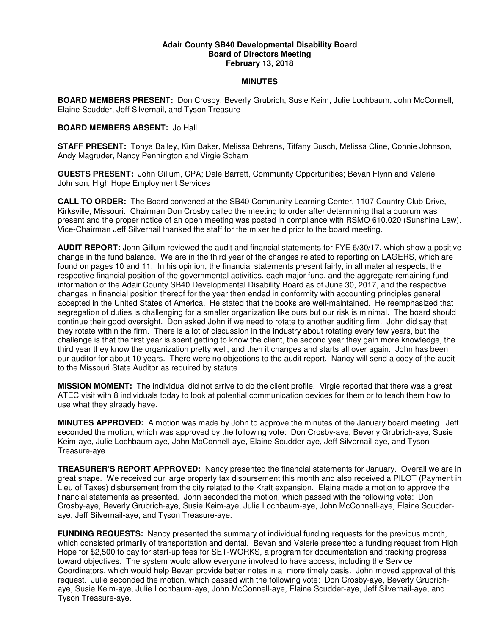## **Adair County SB40 Developmental Disability Board Board of Directors Meeting February 13, 2018**

## **MINUTES**

**BOARD MEMBERS PRESENT:** Don Crosby, Beverly Grubrich, Susie Keim, Julie Lochbaum, John McConnell, Elaine Scudder, Jeff Silvernail, and Tyson Treasure

## **BOARD MEMBERS ABSENT:** Jo Hall

**STAFF PRESENT:** Tonya Bailey, Kim Baker, Melissa Behrens, Tiffany Busch, Melissa Cline, Connie Johnson, Andy Magruder, Nancy Pennington and Virgie Scharn

**GUESTS PRESENT:** John Gillum, CPA; Dale Barrett, Community Opportunities; Bevan Flynn and Valerie Johnson, High Hope Employment Services

**CALL TO ORDER:** The Board convened at the SB40 Community Learning Center, 1107 Country Club Drive, Kirksville, Missouri. Chairman Don Crosby called the meeting to order after determining that a quorum was present and the proper notice of an open meeting was posted in compliance with RSMO 610.020 (Sunshine Law). Vice-Chairman Jeff Silvernail thanked the staff for the mixer held prior to the board meeting.

**AUDIT REPORT:** John Gillum reviewed the audit and financial statements for FYE 6/30/17, which show a positive change in the fund balance. We are in the third year of the changes related to reporting on LAGERS, which are found on pages 10 and 11. In his opinion, the financial statements present fairly, in all material respects, the respective financial position of the governmental activities, each major fund, and the aggregate remaining fund information of the Adair County SB40 Developmental Disability Board as of June 30, 2017, and the respective changes in financial position thereof for the year then ended in conformity with accounting principles general accepted in the United States of America. He stated that the books are well-maintained. He reemphasized that segregation of duties is challenging for a smaller organization like ours but our risk is minimal. The board should continue their good oversight. Don asked John if we need to rotate to another auditing firm. John did say that they rotate within the firm. There is a lot of discussion in the industry about rotating every few years, but the challenge is that the first year is spent getting to know the client, the second year they gain more knowledge, the third year they know the organization pretty well, and then it changes and starts all over again. John has been our auditor for about 10 years. There were no objections to the audit report. Nancy will send a copy of the audit to the Missouri State Auditor as required by statute.

**MISSION MOMENT:** The individual did not arrive to do the client profile. Virgie reported that there was a great ATEC visit with 8 individuals today to look at potential communication devices for them or to teach them how to use what they already have.

**MINUTES APPROVED:** A motion was made by John to approve the minutes of the January board meeting. Jeff seconded the motion, which was approved by the following vote: Don Crosby-aye, Beverly Grubrich-aye, Susie Keim-aye, Julie Lochbaum-aye, John McConnell-aye, Elaine Scudder-aye, Jeff Silvernail-aye, and Tyson Treasure-aye.

**TREASURER'S REPORT APPROVED:** Nancy presented the financial statements for January. Overall we are in great shape. We received our large property tax disbursement this month and also received a PILOT (Payment in Lieu of Taxes) disbursement from the city related to the Kraft expansion. Elaine made a motion to approve the financial statements as presented. John seconded the motion, which passed with the following vote: Don Crosby-aye, Beverly Grubrich-aye, Susie Keim-aye, Julie Lochbaum-aye, John McConnell-aye, Elaine Scudderaye, Jeff Silvernail-aye, and Tyson Treasure-aye.

**FUNDING REQUESTS:** Nancy presented the summary of individual funding requests for the previous month, which consisted primarily of transportation and dental. Bevan and Valerie presented a funding request from High Hope for \$2,500 to pay for start-up fees for SET-WORKS, a program for documentation and tracking progress toward objectives. The system would allow everyone involved to have access, including the Service Coordinators, which would help Bevan provide better notes in a more timely basis. John moved approval of this request. Julie seconded the motion, which passed with the following vote: Don Crosby-aye, Beverly Grubrichaye, Susie Keim-aye, Julie Lochbaum-aye, John McConnell-aye, Elaine Scudder-aye, Jeff Silvernail-aye, and Tyson Treasure-aye.